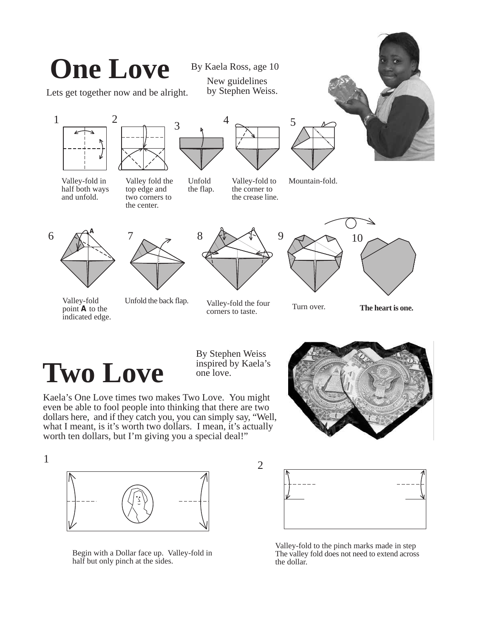

## **Two Love**

1

By Stephen Weiss inspired by Kaela's one love.

2

 . even be able to fool people into thinking that there are two Kaela's One Love times two makes Two Love. You might dollars here, and if they catch you, you can simply say, "Well, what I meant, is it's worth two dollars. I mean, it's actually worth ten dollars, but I'm giving you a special deal!"





Begin with a Dollar face up. Valley-fold in half but only pinch at the sides.



Valley-fold to the pinch marks made in step The valley fold does not need to extend across the dollar.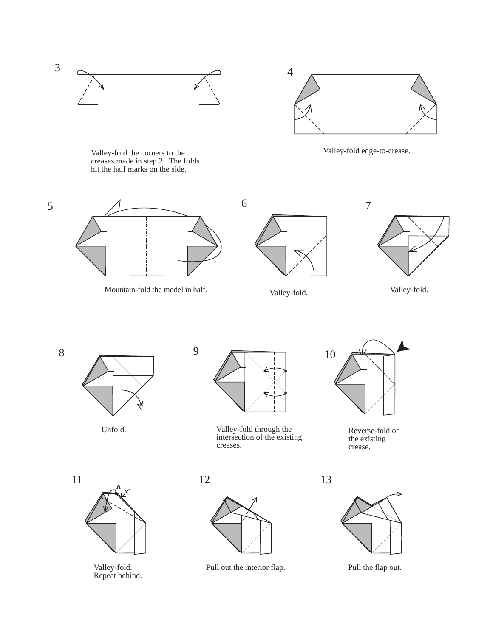

Valley-fold the corners to the creases made in step 2. The folds hit the half marks on the side.



Valley-fold edge-to-crease.



Mountain-fold the model in half. Valley-fold. Valley-fold.







5

Unfold.



Valley-fold through the intersection of the existing creases.



Reverse-fold on the existing crease.



**A**

Valley-fold.<br>Repeat behind.



Valley-fold. Pull out the interior flap. Pull the flap out.

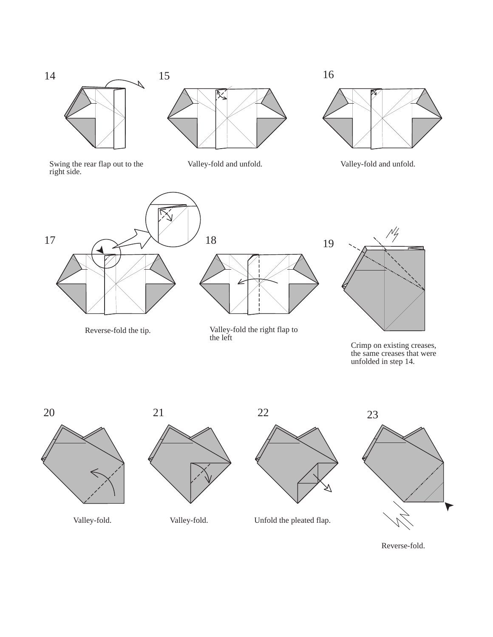



Swing the rear flap out to the right side.







Reverse-fold the tip. Valley-fold the right flap to the left



Crimp on existing creases, the same creases that were unfolded in step 14.





Valley-fold. Valley-fold. Unfold the pleated flap.



Reverse-fold.